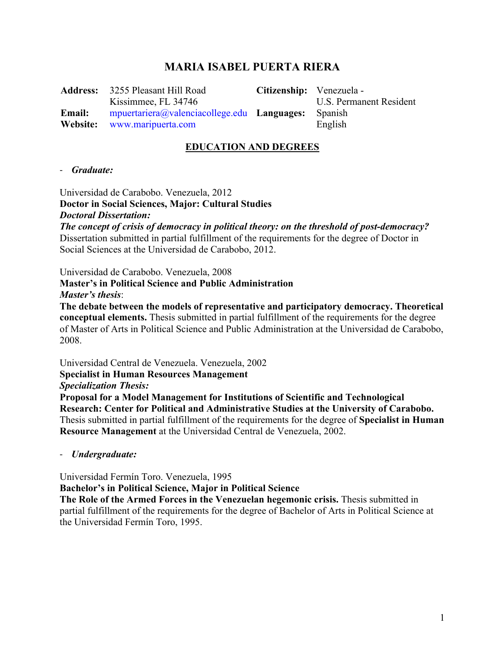# **MARIA ISABEL PUERTA RIERA**

**Address:** 3255 Pleasant Hill Road Kissimmee, FL 34746 **Citizenship:** Venezuela - U.S. Permanent Resident **Email:** mpuertariera@valenciacollege.edu **Languages:** Spanish Website: www.maripuerta.com English

## **EDUCATION AND DEGREES**

- *Graduate:*

Universidad de Carabobo. Venezuela, 2012

**Doctor in Social Sciences, Major: Cultural Studies** *Doctoral Dissertation:*

*The concept of crisis of democracy in political theory: on the threshold of post-democracy?*  Dissertation submitted in partial fulfillment of the requirements for the degree of Doctor in Social Sciences at the Universidad de Carabobo, 2012.

Universidad de Carabobo. Venezuela, 2008

#### **Master's in Political Science and Public Administration** *Master's thesis*:

**The debate between the models of representative and participatory democracy. Theoretical conceptual elements.** Thesis submitted in partial fulfillment of the requirements for the degree of Master of Arts in Political Science and Public Administration at the Universidad de Carabobo, 2008.

Universidad Central de Venezuela. Venezuela, 2002

#### **Specialist in Human Resources Management**

*Specialization Thesis:* 

**Proposal for a Model Management for Institutions of Scientific and Technological Research: Center for Political and Administrative Studies at the University of Carabobo.** Thesis submitted in partial fulfillment of the requirements for the degree of **Specialist in Human Resource Management** at the Universidad Central de Venezuela, 2002.

- *Undergraduate:*

Universidad Fermín Toro. Venezuela, 1995

#### **Bachelor's in Political Science, Major in Political Science**

**The Role of the Armed Forces in the Venezuelan hegemonic crisis.** Thesis submitted in partial fulfillment of the requirements for the degree of Bachelor of Arts in Political Science at the Universidad Fermín Toro, 1995.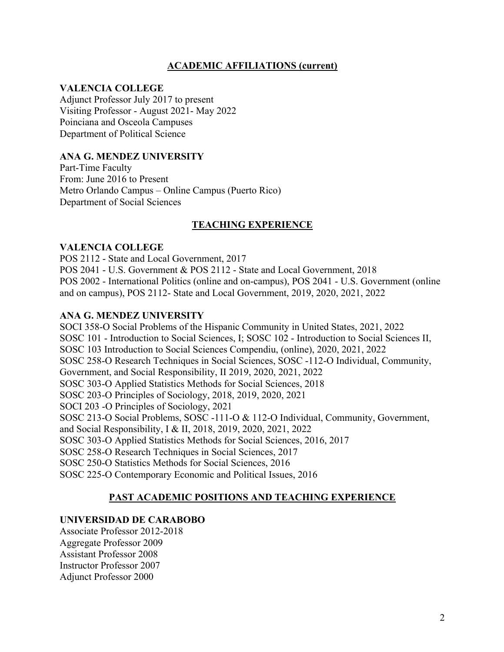### **ACADEMIC AFFILIATIONS (current)**

#### **VALENCIA COLLEGE**

Adjunct Professor July 2017 to present Visiting Professor - August 2021- May 2022 Poinciana and Osceola Campuses Department of Political Science

### **ANA G. MENDEZ UNIVERSITY**

Part-Time Faculty From: June 2016 to Present Metro Orlando Campus – Online Campus (Puerto Rico) Department of Social Sciences

#### **TEACHING EXPERIENCE**

#### **VALENCIA COLLEGE**

POS 2112 - State and Local Government, 2017 POS 2041 - U.S. Government & POS 2112 - State and Local Government, 2018 POS 2002 - International Politics (online and on-campus), POS 2041 - U.S. Government (online and on campus), POS 2112- State and Local Government, 2019, 2020, 2021, 2022

#### **ANA G. MENDEZ UNIVERSITY**

SOCI 358-O Social Problems of the Hispanic Community in United States, 2021, 2022 SOSC 101 - Introduction to Social Sciences, I; SOSC 102 - Introduction to Social Sciences II, SOSC 103 Introduction to Social Sciences Compendiu, (online), 2020, 2021, 2022 SOSC 258-O Research Techniques in Social Sciences, SOSC -112-O Individual, Community, Government, and Social Responsibility, II 2019, 2020, 2021, 2022 SOSC 303-O Applied Statistics Methods for Social Sciences, 2018 SOSC 203-O Principles of Sociology, 2018, 2019, 2020, 2021 SOCI 203 -O Principles of Sociology, 2021 SOSC 213-O Social Problems, SOSC -111-O & 112-O Individual, Community, Government, and Social Responsibility, I & II, 2018, 2019, 2020, 2021, 2022 SOSC 303-O Applied Statistics Methods for Social Sciences, 2016, 2017 SOSC 258-O Research Techniques in Social Sciences, 2017 SOSC 250-O Statistics Methods for Social Sciences, 2016 SOSC 225-O Contemporary Economic and Political Issues, 2016

#### **PAST ACADEMIC POSITIONS AND TEACHING EXPERIENCE**

#### **UNIVERSIDAD DE CARABOBO**

Associate Professor 2012-2018 Aggregate Professor 2009 Assistant Professor 2008 Instructor Professor 2007 Adjunct Professor 2000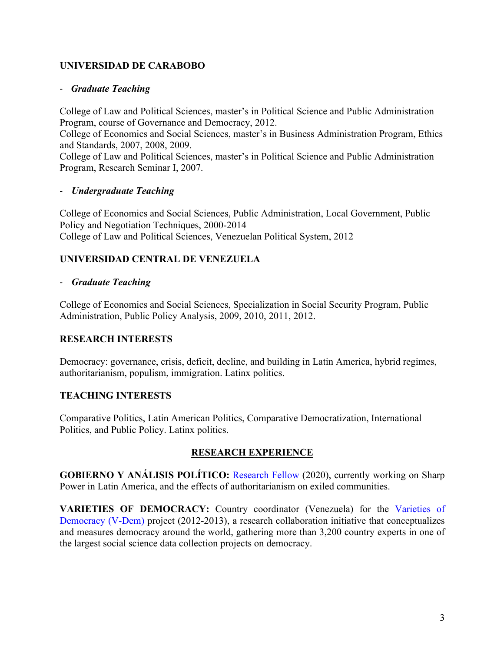### **UNIVERSIDAD DE CARABOBO**

### - *Graduate Teaching*

College of Law and Political Sciences, master's in Political Science and Public Administration Program, course of Governance and Democracy, 2012.

College of Economics and Social Sciences, master's in Business Administration Program, Ethics and Standards, 2007, 2008, 2009.

College of Law and Political Sciences, master's in Political Science and Public Administration Program, Research Seminar I, 2007.

### - *Undergraduate Teaching*

College of Economics and Social Sciences, Public Administration, Local Government, Public Policy and Negotiation Techniques, 2000-2014 College of Law and Political Sciences, Venezuelan Political System, 2012

### **UNIVERSIDAD CENTRAL DE VENEZUELA**

#### - *Graduate Teaching*

College of Economics and Social Sciences, Specialization in Social Security Program, Public Administration, Public Policy Analysis, 2009, 2010, 2011, 2012.

### **RESEARCH INTERESTS**

Democracy: governance, crisis, deficit, decline, and building in Latin America, hybrid regimes, authoritarianism, populism, immigration. Latinx politics.

### **TEACHING INTERESTS**

Comparative Politics, Latin American Politics, Comparative Democratization, International Politics, and Public Policy. Latinx politics.

## **RESEARCH EXPERIENCE**

**GOBIERNO Y ANÁLISIS POLÍTICO:** Research Fellow (2020), currently working on Sharp Power in Latin America, and the effects of authoritarianism on exiled communities.

**VARIETIES OF DEMOCRACY:** Country coordinator (Venezuela) for the Varieties of Democracy (V-Dem) project (2012-2013), a research collaboration initiative that conceptualizes and measures democracy around the world, gathering more than 3,200 country experts in one of the largest social science data collection projects on democracy.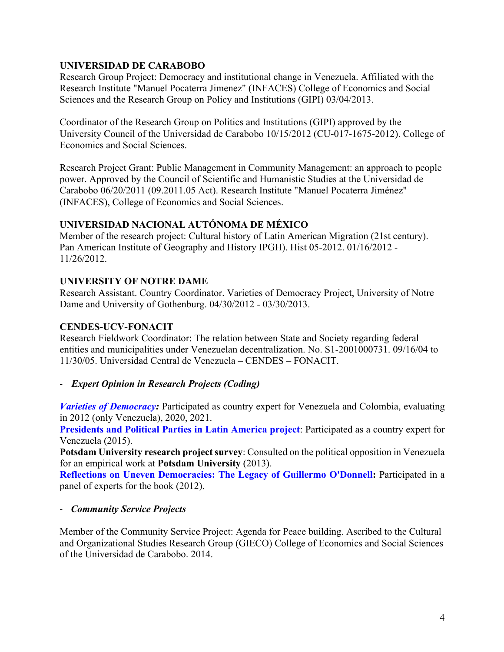### **UNIVERSIDAD DE CARABOBO**

Research Group Project: Democracy and institutional change in Venezuela. Affiliated with the Research Institute "Manuel Pocaterra Jimenez" (INFACES) College of Economics and Social Sciences and the Research Group on Policy and Institutions (GIPI) 03/04/2013.

Coordinator of the Research Group on Politics and Institutions (GIPI) approved by the University Council of the Universidad de Carabobo 10/15/2012 (CU-017-1675-2012). College of Economics and Social Sciences.

Research Project Grant: Public Management in Community Management: an approach to people power. Approved by the Council of Scientific and Humanistic Studies at the Universidad de Carabobo 06/20/2011 (09.2011.05 Act). Research Institute "Manuel Pocaterra Jiménez" (INFACES), College of Economics and Social Sciences.

### **UNIVERSIDAD NACIONAL AUTÓNOMA DE MÉXICO**

Member of the research project: Cultural history of Latin American Migration (21st century). Pan American Institute of Geography and History IPGH). Hist 05-2012. 01/16/2012 - 11/26/2012.

### **UNIVERSITY OF NOTRE DAME**

Research Assistant. Country Coordinator. Varieties of Democracy Project, University of Notre Dame and University of Gothenburg. 04/30/2012 - 03/30/2013.

## **CENDES-UCV-FONACIT**

Research Fieldwork Coordinator: The relation between State and Society regarding federal entities and municipalities under Venezuelan decentralization. No. S1-2001000731. 09/16/04 to 11/30/05. Universidad Central de Venezuela – CENDES – FONACIT.

### - *Expert Opinion in Research Projects (Coding)*

*Varieties of Democracy:* Participated as country expert for Venezuela and Colombia, evaluating in 2012 (only Venezuela), 2020, 2021.

**Presidents and Political Parties in Latin America project**: Participated as a country expert for Venezuela (2015).

**Potsdam University research project survey**: Consulted on the political opposition in Venezuela for an empirical work at **Potsdam University** (2013).

**Reflections on Uneven Democracies: The Legacy of Guillermo O'Donnell:** Participated in a panel of experts for the book (2012).

### - *Community Service Projects*

Member of the Community Service Project: Agenda for Peace building. Ascribed to the Cultural and Organizational Studies Research Group (GIECO) College of Economics and Social Sciences of the Universidad de Carabobo. 2014.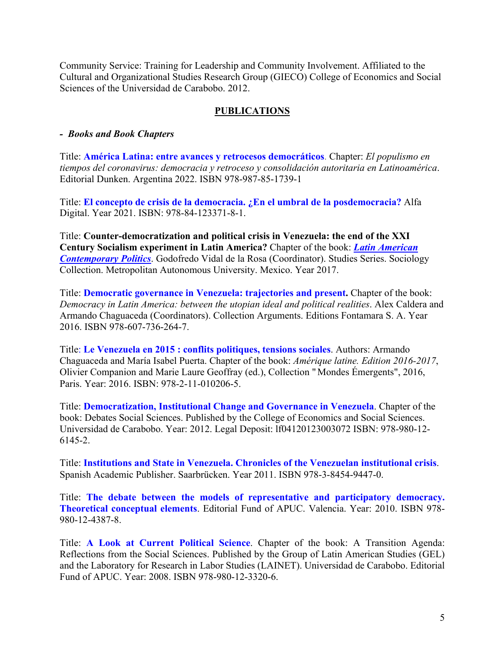Community Service: Training for Leadership and Community Involvement. Affiliated to the Cultural and Organizational Studies Research Group (GIECO) College of Economics and Social Sciences of the Universidad de Carabobo. 2012.

### **PUBLICATIONS**

#### *- Books and Book Chapters*

Title: **América Latina: entre avances y retrocesos democráticos**. Chapter: *El populismo en tiempos del coronavirus: democracia y retroceso y consolidación autoritaria en Latinoamérica*. Editorial Dunken. Argentina 2022. ISBN 978-987-85-1739-1

Title: **El concepto de crisis de la democracia. ¿En el umbral de la posdemocracia?** Alfa Digital. Year 2021. ISBN: 978-84-123371-8-1.

Title: **Counter-democratization and political crisis in Venezuela: the end of the XXI Century Socialism experiment in Latin America?** Chapter of the book: *Latin American Contemporary Politics*. Godofredo Vidal de la Rosa (Coordinator). Studies Series. Sociology Collection. Metropolitan Autonomous University. Mexico. Year 2017.

Title: **Democratic governance in Venezuela: trajectories and present.** Chapter of the book: *Democracy in Latin America: between the utopian ideal and political realities*. Alex Caldera and Armando Chaguaceda (Coordinators). Collection Arguments. Editions Fontamara S. A. Year 2016. ISBN 978-607-736-264-7.

Title: **Le Venezuela en 2015 : conflits politiques, tensions sociales**. Authors: Armando Chaguaceda and María Isabel Puerta. Chapter of the book: *Amérique latine. Edition 2016-2017*, Olivier Companion and Marie Laure Geoffray (ed.), Collection "Mondes Émergents", 2016, Paris. Year: 2016. ISBN: 978-2-11-010206-5.

Title: **Democratization, Institutional Change and Governance in Venezuela**. Chapter of the book: Debates Social Sciences. Published by the College of Economics and Social Sciences. Universidad de Carabobo. Year: 2012. Legal Deposit: lf04120123003072 ISBN: 978-980-12- 6145-2.

Title: **Institutions and State in Venezuela. Chronicles of the Venezuelan institutional crisis**. Spanish Academic Publisher. Saarbrücken. Year 2011. ISBN 978-3-8454-9447-0.

Title: **The debate between the models of representative and participatory democracy. Theoretical conceptual elements**. Editorial Fund of APUC. Valencia. Year: 2010. ISBN 978- 980-12-4387-8.

Title: **A Look at Current Political Science**. Chapter of the book: A Transition Agenda: Reflections from the Social Sciences. Published by the Group of Latin American Studies (GEL) and the Laboratory for Research in Labor Studies (LAINET). Universidad de Carabobo. Editorial Fund of APUC. Year: 2008. ISBN 978-980-12-3320-6.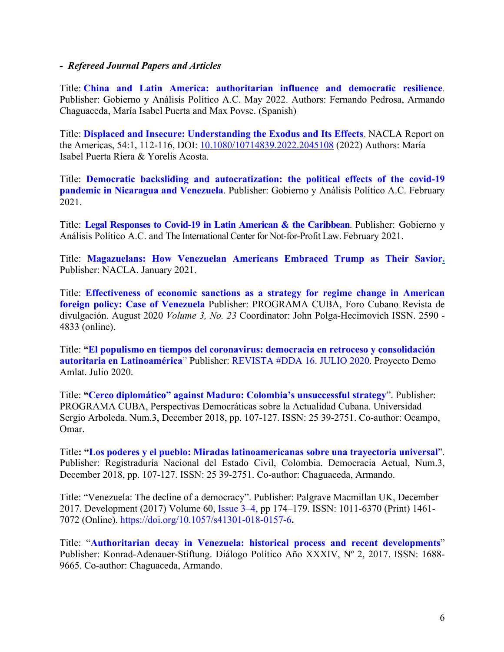#### *- Refereed Journal Papers and Articles*

Title: **China and Latin America: authoritarian influence and democratic resilience**. Publisher: Gobierno y Análisis Político A.C. May 2022. Authors: Fernando Pedrosa, Armando Chaguaceda, María Isabel Puerta and Max Povse. (Spanish)

Title: **Displaced and Insecure: Understanding the Exodus and Its Effects**, NACLA Report on the Americas, 54:1, 112-116, DOI: 10.1080/10714839.2022.2045108 (2022) Authors: María Isabel Puerta Riera & Yorelis Acosta.

Title: **Democratic backsliding and autocratization: the political effects of the covid-19 pandemic in Nicaragua and Venezuela**. Publisher: Gobierno y Análisis Político A.C. February 2021.

Title: **Legal Responses to Covid-19 in Latin American & the Caribbean**. Publisher: Gobierno y Análisis Político A.C. and The International Center for Not-for-Profit Law. February 2021.

Title: **Magazuelans: How Venezuelan Americans Embraced Trump as Their Savior.** Publisher: NACLA. January 2021.

Title: **Effectiveness of economic sanctions as a strategy for regime change in American foreign policy: Case of Venezuela** Publisher: PROGRAMA CUBA, Foro Cubano Revista de divulgación. August 2020 *Volume 3, No. 23* Coordinator: John Polga-Hecimovich ISSN. 2590 - 4833 (online).

Title: **"El populismo en tiempos del coronavirus: democracia en retroceso y consolidación autoritaria en Latinoamérica**" Publisher: REVISTA #DDA 16. JULIO 2020. Proyecto Demo Amlat. Julio 2020.

Title: **"Cerco diplomático" against Maduro: Colombia's unsuccessful strategy**". Publisher: PROGRAMA CUBA, Perspectivas Democráticas sobre la Actualidad Cubana. Universidad Sergio Arboleda. Num.3, December 2018, pp. 107-127. ISSN: 25 39-2751. Co-author: Ocampo, Omar.

Title**: "Los poderes y el pueblo: Miradas latinoamericanas sobre una trayectoria universal**". Publisher: Registraduría Nacional del Estado Civil, Colombia. Democracia Actual, Num.3, December 2018, pp. 107-127. ISSN: 25 39-2751. Co-author: Chaguaceda, Armando.

Title: "Venezuela: The decline of a democracy". Publisher: Palgrave Macmillan UK, December 2017. Development (2017) Volume 60, Issue 3–4, pp 174–179. ISSN: 1011-6370 (Print) 1461- 7072 (Online). https://doi.org/10.1057/s41301-018-0157-6**.**

Title: "**Authoritarian decay in Venezuela: historical process and recent developments**" Publisher: Konrad-Adenauer-Stiftung. Diálogo Político Año XXXIV, Nº 2, 2017. ISSN: 1688- 9665. Co-author: Chaguaceda, Armando.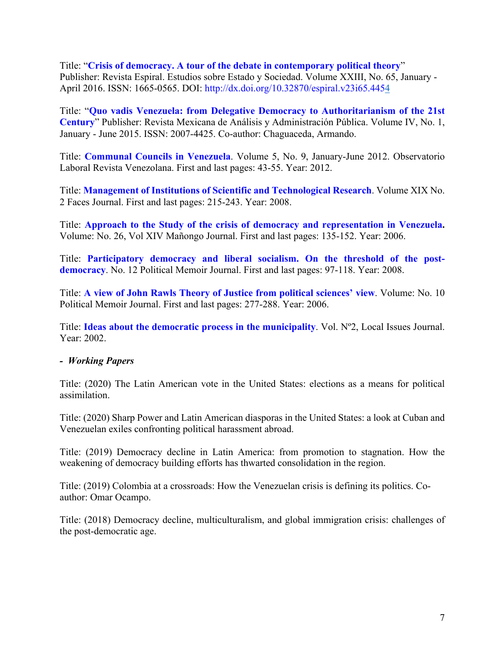Title: "**Crisis of democracy. A tour of the debate in contemporary political theory**" Publisher: Revista Espiral. Estudios sobre Estado y Sociedad. Volume XXIII, No. 65, January - April 2016. ISSN: 1665-0565. DOI: http://dx.doi.org/10.32870/espiral.v23i65.4454

Title: "**Quo vadis Venezuela: from Delegative Democracy to Authoritarianism of the 21st Century**" Publisher: Revista Mexicana de Análisis y Administración Pública. Volume IV, No. 1, January - June 2015. ISSN: 2007-4425. Co-author: Chaguaceda, Armando.

Title: **Communal Councils in Venezuela**. Volume 5, No. 9, January-June 2012. Observatorio Laboral Revista Venezolana. First and last pages: 43-55. Year: 2012.

Title: **Management of Institutions of Scientific and Technological Research**. Volume XIX No. 2 Faces Journal. First and last pages: 215-243. Year: 2008.

Title: **Approach to the Study of the crisis of democracy and representation in Venezuela.**  Volume: No. 26, Vol XIV Mañongo Journal. First and last pages: 135-152. Year: 2006.

Title: **Participatory democracy and liberal socialism. On the threshold of the postdemocracy**. No. 12 Political Memoir Journal. First and last pages: 97-118. Year: 2008.

Title: **A view of John Rawls Theory of Justice from political sciences' view**. Volume: No. 10 Political Memoir Journal. First and last pages: 277-288. Year: 2006.

Title: **Ideas about the democratic process in the municipality**. Vol. Nº2, Local Issues Journal. Year: 2002.

### *- Working Papers*

Title: (2020) The Latin American vote in the United States: elections as a means for political assimilation.

Title: (2020) Sharp Power and Latin American diasporas in the United States: a look at Cuban and Venezuelan exiles confronting political harassment abroad.

Title: (2019) Democracy decline in Latin America: from promotion to stagnation. How the weakening of democracy building efforts has thwarted consolidation in the region.

Title: (2019) Colombia at a crossroads: How the Venezuelan crisis is defining its politics. Coauthor: Omar Ocampo.

Title: (2018) Democracy decline, multiculturalism, and global immigration crisis: challenges of the post-democratic age.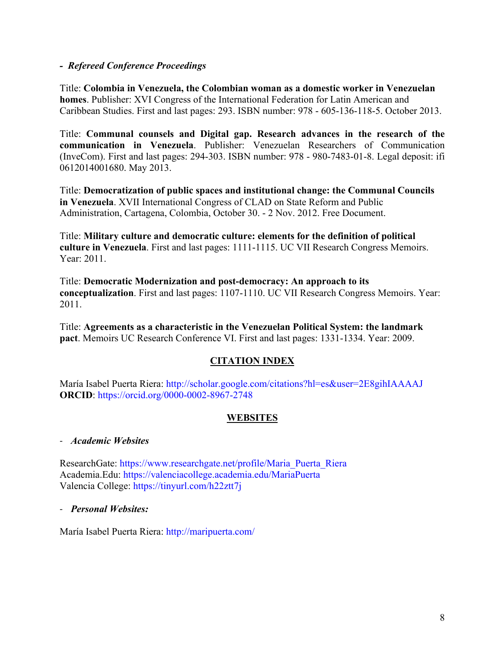#### *- Refereed Conference Proceedings*

Title: **Colombia in Venezuela, the Colombian woman as a domestic worker in Venezuelan homes**. Publisher: XVI Congress of the International Federation for Latin American and Caribbean Studies. First and last pages: 293. ISBN number: 978 - 605-136-118-5. October 2013.

Title: **Communal counsels and Digital gap. Research advances in the research of the communication in Venezuela**. Publisher: Venezuelan Researchers of Communication (InveCom). First and last pages: 294-303. ISBN number: 978 - 980-7483-01-8. Legal deposit: ifi 0612014001680. May 2013.

Title: **Democratization of public spaces and institutional change: the Communal Councils in Venezuela**. XVII International Congress of CLAD on State Reform and Public Administration, Cartagena, Colombia, October 30. - 2 Nov. 2012. Free Document.

Title: **Military culture and democratic culture: elements for the definition of political culture in Venezuela**. First and last pages: 1111-1115. UC VII Research Congress Memoirs. Year: 2011.

Title: **Democratic Modernization and post-democracy: An approach to its conceptualization**. First and last pages: 1107-1110. UC VII Research Congress Memoirs. Year: 2011.

Title: **Agreements as a characteristic in the Venezuelan Political System: the landmark pact**. Memoirs UC Research Conference VI. First and last pages: 1331-1334. Year: 2009.

### **CITATION INDEX**

María Isabel Puerta Riera: http://scholar.google.com/citations?hl=es&user=2E8gihIAAAAJ **ORCID**: https://orcid.org/0000-0002-8967-2748

#### **WEBSITES**

- *Academic Websites*

ResearchGate: https://www.researchgate.net/profile/Maria\_Puerta\_Riera Academia.Edu: https://valenciacollege.academia.edu/MariaPuerta Valencia College: https://tinyurl.com/h22ztt7j

- *Personal Websites:*

María Isabel Puerta Riera: http://maripuerta.com/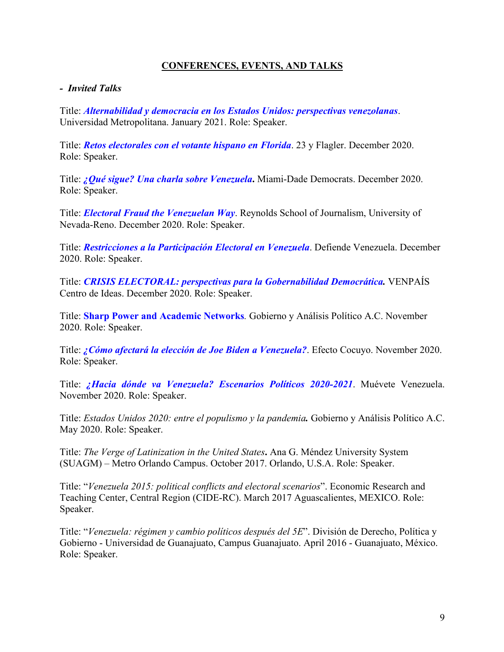### **CONFERENCES, EVENTS, AND TALKS**

#### *- Invited Talks*

Title: *Alternabilidad y democracia en los Estados Unidos: perspectivas venezolanas*. Universidad Metropolitana. January 2021. Role: Speaker.

Title: *Retos electorales con el votante hispano en Florida*. 23 y Flagler. December 2020. Role: Speaker.

Title: *¿Qué sigue? Una charla sobre Venezuela***.** Miami-Dade Democrats. December 2020. Role: Speaker.

Title: *Electoral Fraud the Venezuelan Way*. Reynolds School of Journalism, University of Nevada-Reno. December 2020. Role: Speaker.

Title: *Restricciones a la Participación Electoral en Venezuela*. Defiende Venezuela. December 2020. Role: Speaker.

Title: *CRISIS ELECTORAL: perspectivas para la Gobernabilidad Democrática.* VENPAÍS Centro de Ideas. December 2020. Role: Speaker.

Title: **Sharp Power and Academic Networks***.* Gobierno y Análisis Político A.C. November 2020. Role: Speaker.

Title: *¿Cómo afectará la elección de Joe Biden a Venezuela?*. Efecto Cocuyo. November 2020. Role: Speaker.

Title: *¿Hacia dónde va Venezuela? Escenarios Políticos 2020-2021*. Muévete Venezuela. November 2020. Role: Speaker.

Title: *Estados Unidos 2020: entre el populismo y la pandemia.* Gobierno y Análisis Político A.C. May 2020. Role: Speaker.

Title: *The Verge of Latinization in the United States***.** Ana G. Méndez University System (SUAGM) – Metro Orlando Campus. October 2017. Orlando, U.S.A. Role: Speaker.

Title: "*Venezuela 2015: political conflicts and electoral scenarios*". Economic Research and Teaching Center, Central Region (CIDE-RC). March 2017 Aguascalientes, MEXICO. Role: Speaker.

Title: "*Venezuela: régimen y cambio políticos después del 5E*". División de Derecho, Política y Gobierno - Universidad de Guanajuato, Campus Guanajuato. April 2016 - Guanajuato, México. Role: Speaker.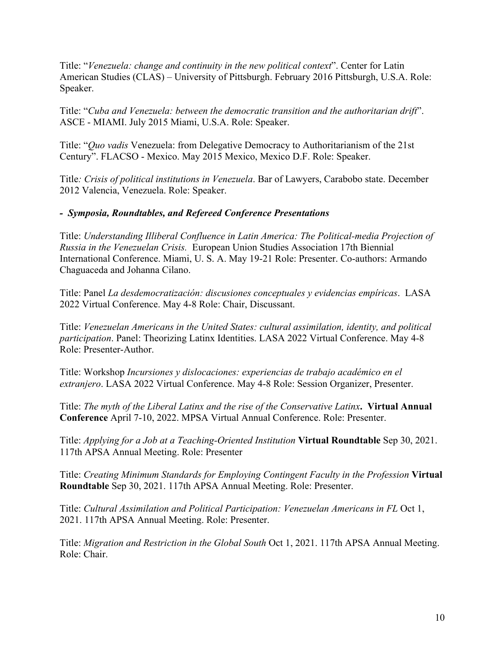Title: "*Venezuela: change and continuity in the new political context*". Center for Latin American Studies (CLAS) – University of Pittsburgh. February 2016 Pittsburgh, U.S.A. Role: Speaker.

Title: "*Cuba and Venezuela: between the democratic transition and the authoritarian drift*". ASCE - MIAMI. July 2015 Miami, U.S.A. Role: Speaker.

Title: "*Quo vadis* Venezuela: from Delegative Democracy to Authoritarianism of the 21st Century". FLACSO - Mexico. May 2015 Mexico, Mexico D.F. Role: Speaker.

Title*: Crisis of political institutions in Venezuela*. Bar of Lawyers, Carabobo state. December 2012 Valencia, Venezuela. Role: Speaker.

### *- Symposia, Roundtables, and Refereed Conference Presentations*

Title: *Understanding Illiberal Confluence in Latin America: The Political-media Projection of Russia in the Venezuelan Crisis.* European Union Studies Association 17th Biennial International Conference. Miami, U. S. A. May 19-21 Role: Presenter. Co-authors: Armando Chaguaceda and Johanna Cilano.

Title: Panel *La desdemocratización: discusiones conceptuales y evidencias empíricas*. LASA 2022 Virtual Conference. May 4-8 Role: Chair, Discussant.

Title: *Venezuelan Americans in the United States: cultural assimilation, identity, and political participation*. Panel: Theorizing Latinx Identities. LASA 2022 Virtual Conference. May 4-8 Role: Presenter-Author.

Title: Workshop *Incursiones y dislocaciones: experiencias de trabajo académico en el extranjero*. LASA 2022 Virtual Conference. May 4-8 Role: Session Organizer, Presenter.

Title: *The myth of the Liberal Latinx and the rise of the Conservative Latinx***. Virtual Annual Conference** April 7-10, 2022. MPSA Virtual Annual Conference. Role: Presenter.

Title: *Applying for a Job at a Teaching-Oriented Institution* **Virtual Roundtable** Sep 30, 2021. 117th APSA Annual Meeting. Role: Presenter

Title: *Creating Minimum Standards for Employing Contingent Faculty in the Profession* **Virtual Roundtable** Sep 30, 2021. 117th APSA Annual Meeting. Role: Presenter.

Title: *Cultural Assimilation and Political Participation: Venezuelan Americans in FL* Oct 1, 2021. 117th APSA Annual Meeting. Role: Presenter.

Title: *Migration and Restriction in the Global South* Oct 1, 2021. 117th APSA Annual Meeting. Role: Chair.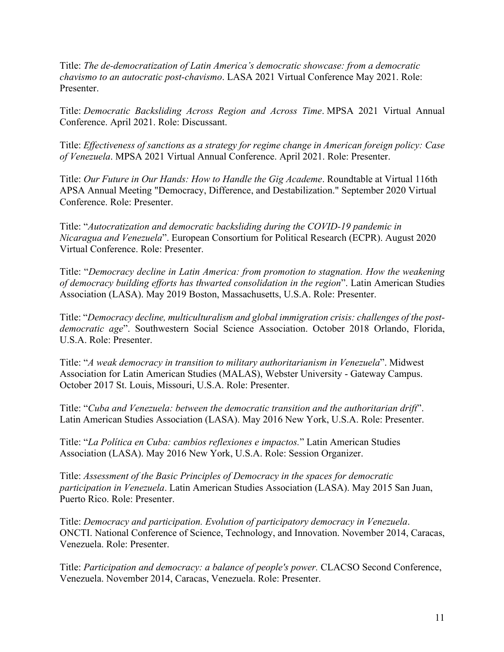Title: *The de-democratization of Latin America's democratic showcase: from a democratic chavismo to an autocratic post-chavismo*. LASA 2021 Virtual Conference May 2021. Role: Presenter.

Title: *Democratic Backsliding Across Region and Across Time*. MPSA 2021 Virtual Annual Conference. April 2021. Role: Discussant.

Title: *Effectiveness of sanctions as a strategy for regime change in American foreign policy: Case of Venezuela*. MPSA 2021 Virtual Annual Conference. April 2021. Role: Presenter.

Title: *Our Future in Our Hands: How to Handle the Gig Academe*. Roundtable at Virtual 116th APSA Annual Meeting "Democracy, Difference, and Destabilization." September 2020 Virtual Conference. Role: Presenter.

Title: "*Autocratization and democratic backsliding during the COVID-19 pandemic in Nicaragua and Venezuela*". European Consortium for Political Research (ECPR). August 2020 Virtual Conference. Role: Presenter.

Title: "*Democracy decline in Latin America: from promotion to stagnation. How the weakening of democracy building efforts has thwarted consolidation in the region*". Latin American Studies Association (LASA). May 2019 Boston, Massachusetts, U.S.A. Role: Presenter.

Title: "*Democracy decline, multiculturalism and global immigration crisis: challenges of the postdemocratic age*". Southwestern Social Science Association. October 2018 Orlando, Florida, U.S.A. Role: Presenter.

Title: "*A weak democracy in transition to military authoritarianism in Venezuela*". Midwest Association for Latin American Studies (MALAS), Webster University - Gateway Campus. October 2017 St. Louis, Missouri, U.S.A. Role: Presenter.

Title: "*Cuba and Venezuela: between the democratic transition and the authoritarian drift*". Latin American Studies Association (LASA). May 2016 New York, U.S.A. Role: Presenter.

Title: "*La Política en Cuba: cambios reflexiones e impactos.*" Latin American Studies Association (LASA). May 2016 New York, U.S.A. Role: Session Organizer.

Title: *Assessment of the Basic Principles of Democracy in the spaces for democratic participation in Venezuela*. Latin American Studies Association (LASA). May 2015 San Juan, Puerto Rico. Role: Presenter.

Title: *Democracy and participation. Evolution of participatory democracy in Venezuela*. ONCTI. National Conference of Science, Technology, and Innovation. November 2014, Caracas, Venezuela. Role: Presenter.

Title: *Participation and democracy: a balance of people's power.* CLACSO Second Conference, Venezuela. November 2014, Caracas, Venezuela. Role: Presenter.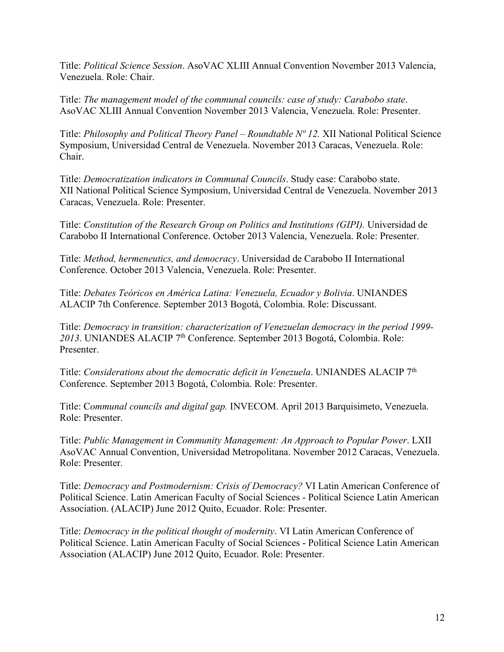Title: *Political Science Session*. AsoVAC XLIII Annual Convention November 2013 Valencia, Venezuela. Role: Chair.

Title: *The management model of the communal councils: case of study: Carabobo state*. AsoVAC XLIII Annual Convention November 2013 Valencia, Venezuela. Role: Presenter.

Title: *Philosophy and Political Theory Panel – Roundtable Nº 12.* XII National Political Science Symposium, Universidad Central de Venezuela. November 2013 Caracas, Venezuela. Role: Chair.

Title: *Democratization indicators in Communal Councils*. Study case: Carabobo state. XII National Political Science Symposium, Universidad Central de Venezuela. November 2013 Caracas, Venezuela. Role: Presenter.

Title: *Constitution of the Research Group on Politics and Institutions (GIPI).* Universidad de Carabobo II International Conference. October 2013 Valencia, Venezuela. Role: Presenter.

Title: *Method, hermeneutics, and democracy*. Universidad de Carabobo II International Conference. October 2013 Valencia, Venezuela. Role: Presenter.

Title: *Debates Teóricos en América Latina: Venezuela, Ecuador y Bolivia*. UNIANDES ALACIP 7th Conference. September 2013 Bogotá, Colombia. Role: Discussant.

Title: *Democracy in transition: characterization of Venezuelan democracy in the period 1999-* 2013. UNIANDES ALACIP 7<sup>th</sup> Conference. September 2013 Bogotá, Colombia. Role: Presenter.

Title: *Considerations about the democratic deficit in Venezuela*. UNIANDES ALACIP 7th Conference. September 2013 Bogotá, Colombia. Role: Presenter.

Title: C*ommunal councils and digital gap.* INVECOM. April 2013 Barquisimeto, Venezuela. Role: Presenter.

Title: *Public Management in Community Management: An Approach to Popular Power*. LXII AsoVAC Annual Convention, Universidad Metropolitana. November 2012 Caracas, Venezuela. Role: Presenter.

Title: *Democracy and Postmodernism: Crisis of Democracy?* VI Latin American Conference of Political Science. Latin American Faculty of Social Sciences - Political Science Latin American Association. (ALACIP) June 2012 Quito, Ecuador. Role: Presenter.

Title: *Democracy in the political thought of modernity*. VI Latin American Conference of Political Science. Latin American Faculty of Social Sciences - Political Science Latin American Association (ALACIP) June 2012 Quito, Ecuador. Role: Presenter.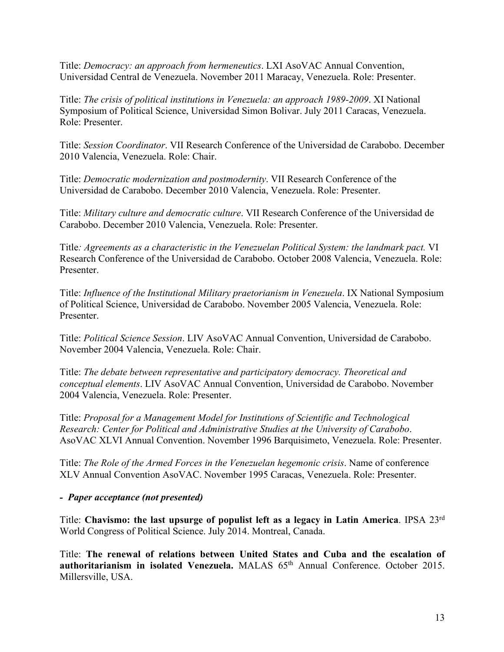Title: *Democracy: an approach from hermeneutics*. LXI AsoVAC Annual Convention, Universidad Central de Venezuela. November 2011 Maracay, Venezuela. Role: Presenter.

Title: *The crisis of political institutions in Venezuela: an approach 1989-2009*. XI National Symposium of Political Science, Universidad Simon Bolivar. July 2011 Caracas, Venezuela. Role: Presenter.

Title: *Session Coordinator*. VII Research Conference of the Universidad de Carabobo. December 2010 Valencia, Venezuela. Role: Chair.

Title: *Democratic modernization and postmodernity*. VII Research Conference of the Universidad de Carabobo. December 2010 Valencia, Venezuela. Role: Presenter.

Title: *Military culture and democratic culture*. VII Research Conference of the Universidad de Carabobo. December 2010 Valencia, Venezuela. Role: Presenter.

Title*: Agreements as a characteristic in the Venezuelan Political System: the landmark pact.* VI Research Conference of the Universidad de Carabobo. October 2008 Valencia, Venezuela. Role: Presenter.

Title: *Influence of the Institutional Military praetorianism in Venezuela*. IX National Symposium of Political Science, Universidad de Carabobo. November 2005 Valencia, Venezuela. Role: Presenter.

Title: *Political Science Session*. LIV AsoVAC Annual Convention, Universidad de Carabobo. November 2004 Valencia, Venezuela. Role: Chair.

Title: *The debate between representative and participatory democracy. Theoretical and conceptual elements*. LIV AsoVAC Annual Convention, Universidad de Carabobo. November 2004 Valencia, Venezuela. Role: Presenter.

Title: *Proposal for a Management Model for Institutions of Scientific and Technological Research: Center for Political and Administrative Studies at the University of Carabobo*. AsoVAC XLVI Annual Convention. November 1996 Barquisimeto, Venezuela. Role: Presenter.

Title: *The Role of the Armed Forces in the Venezuelan hegemonic crisis*. Name of conference XLV Annual Convention AsoVAC. November 1995 Caracas, Venezuela. Role: Presenter.

### *- Paper acceptance (not presented)*

Title: **Chavismo: the last upsurge of populist left as a legacy in Latin America**. IPSA 23rd World Congress of Political Science. July 2014. Montreal, Canada.

Title: **The renewal of relations between United States and Cuba and the escalation of**  authoritarianism in isolated Venezuela. MALAS 65<sup>th</sup> Annual Conference. October 2015. Millersville, USA.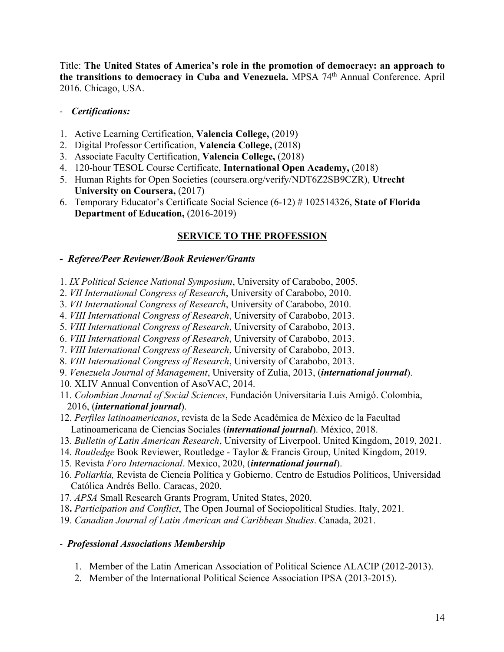Title: **The United States of America's role in the promotion of democracy: an approach to the transitions to democracy in Cuba and Venezuela.** MPSA 74th Annual Conference. April 2016. Chicago, USA.

### - *Certifications:*

- 1. Active Learning Certification, **Valencia College,** (2019)
- 2. Digital Professor Certification, **Valencia College,** (2018)
- 3. Associate Faculty Certification, **Valencia College,** (2018)
- 4. 120-hour TESOL Course Certificate, **International Open Academy,** (2018)
- 5. Human Rights for Open Societies (coursera.org/verify/NDT6Z2SB9CZR), **Utrecht University on Coursera, (2017)**
- 6. Temporary Educator's Certificate Social Science (6-12) # 102514326, **State of Florida Department of Education, (2016-2019)**

## **SERVICE TO THE PROFESSION**

### *- Referee/Peer Reviewer/Book Reviewer/Grants*

- 1. *IX Political Science National Symposium*, University of Carabobo, 2005.
- 2. *VII International Congress of Research*, University of Carabobo, 2010.
- 3. *VII International Congress of Research*, University of Carabobo, 2010.
- 4. *VIII International Congress of Research*, University of Carabobo, 2013.
- 5. *VIII International Congress of Research*, University of Carabobo, 2013.
- 6. *VIII International Congress of Research*, University of Carabobo, 2013.
- 7. *VIII International Congress of Research*, University of Carabobo, 2013.
- 8. *VIII International Congress of Research*, University of Carabobo, 2013.
- 9. *Venezuela Journal of Management*, University of Zulia, 2013, (*international journal*).
- 10. XLIV Annual Convention of AsoVAC, 2014.
- 11. *Colombian Journal of Social Sciences*, Fundación Universitaria Luis Amigó. Colombia, 2016, (*international journal*).
- 12. *Perfiles latinoamericanos*, revista de la Sede Académica de México de la Facultad Latinoamericana de Ciencias Sociales (*international journal*). México, 2018.
- 13. *Bulletin of Latin American Research*, University of Liverpool. United Kingdom, 2019, 2021.
- 14. *Routledge* Book Reviewer, Routledge Taylor & Francis Group, United Kingdom, 2019.
- 15. Revista *Foro Internacional*. Mexico, 2020, (*international journal*).
- 16. *Poliarkía,* Revista de Ciencia Política y Gobierno. Centro de Estudios Políticos, Universidad Católica Andrés Bello. Caracas, 2020.
- 17. *APSA* Small Research Grants Program, United States, 2020.
- 18**.** *Participation and Conflict*, The Open Journal of Sociopolitical Studies. Italy, 2021.
- 19. *Canadian Journal of Latin American and Caribbean Studies*. Canada, 2021.

### - *Professional Associations Membership*

- 1. Member of the Latin American Association of Political Science ALACIP (2012-2013).
- 2. Member of the International Political Science Association IPSA (2013-2015).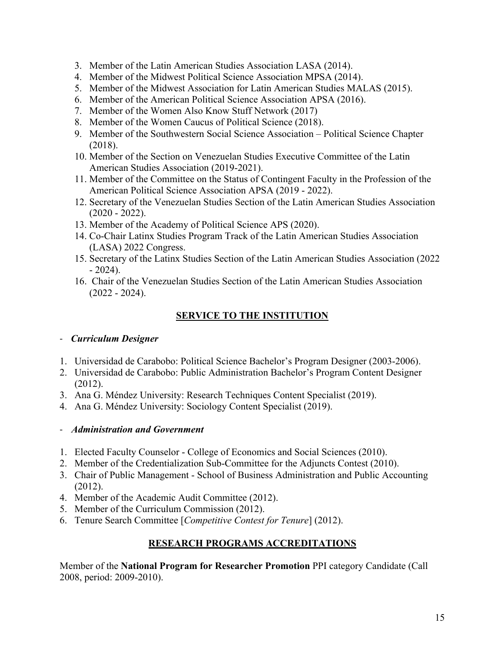- 3. Member of the Latin American Studies Association LASA (2014).
- 4. Member of the Midwest Political Science Association MPSA (2014).
- 5. Member of the Midwest Association for Latin American Studies MALAS (2015).
- 6. Member of the American Political Science Association APSA (2016).
- 7. Member of the Women Also Know Stuff Network (2017)
- 8. Member of the Women Caucus of Political Science (2018).
- 9. Member of the Southwestern Social Science Association Political Science Chapter (2018).
- 10. Member of the Section on Venezuelan Studies Executive Committee of the Latin American Studies Association (2019-2021).
- 11. Member of the Committee on the Status of Contingent Faculty in the Profession of the American Political Science Association APSA (2019 - 2022).
- 12. Secretary of the Venezuelan Studies Section of the Latin American Studies Association (2020 - 2022).
- 13. Member of the Academy of Political Science APS (2020).
- 14. Co-Chair Latinx Studies Program Track of the Latin American Studies Association (LASA) 2022 Congress.
- 15. Secretary of the Latinx Studies Section of the Latin American Studies Association (2022  $-2024$ ).
- 16. Chair of the Venezuelan Studies Section of the Latin American Studies Association (2022 - 2024).

## **SERVICE TO THE INSTITUTION**

### - *Curriculum Designer*

- 1. Universidad de Carabobo: Political Science Bachelor's Program Designer (2003-2006).
- 2. Universidad de Carabobo: Public Administration Bachelor's Program Content Designer (2012).
- 3. Ana G. Méndez University: Research Techniques Content Specialist (2019).
- 4. Ana G. Méndez University: Sociology Content Specialist (2019).

### - *Administration and Government*

- 1. Elected Faculty Counselor College of Economics and Social Sciences (2010).
- 2. Member of the Credentialization Sub-Committee for the Adjuncts Contest (2010).
- 3. Chair of Public Management School of Business Administration and Public Accounting (2012).
- 4. Member of the Academic Audit Committee (2012).
- 5. Member of the Curriculum Commission (2012).
- 6. Tenure Search Committee [*Competitive Contest for Tenure*] (2012).

# **RESEARCH PROGRAMS ACCREDITATIONS**

Member of the **National Program for Researcher Promotion** PPI category Candidate (Call 2008, period: 2009-2010).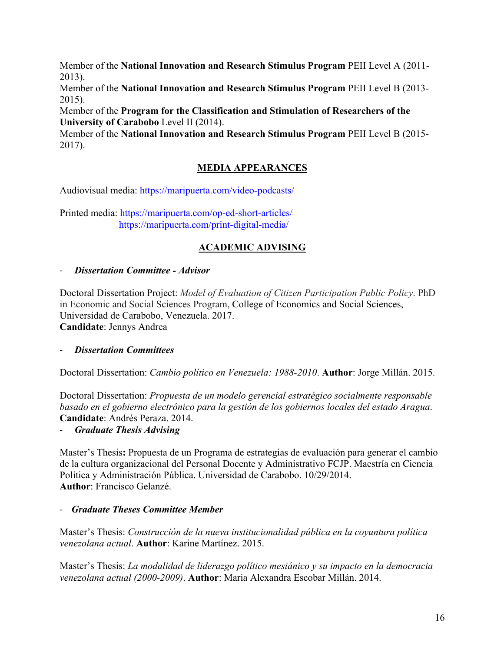Member of the **National Innovation and Research Stimulus Program** PEII Level A (2011- 2013).

Member of the **National Innovation and Research Stimulus Program** PEII Level B (2013- 2015).

Member of the **Program for the Classification and Stimulation of Researchers of the University of Carabobo** Level II (2014).

Member of the **National Innovation and Research Stimulus Program** PEII Level B (2015- 2017).

## **MEDIA APPEARANCES**

Audiovisual media: https://maripuerta.com/video-podcasts/

Printed media: https://maripuerta.com/op-ed-short-articles/ https://maripuerta.com/print-digital-media/

# **ACADEMIC ADVISING**

- *Dissertation Committee - Advisor*

Doctoral Dissertation Project: *Model of Evaluation of Citizen Participation Public Policy*. PhD in Economic and Social Sciences Program, College of Economics and Social Sciences, Universidad de Carabobo, Venezuela. 2017. **Candidate**: Jennys Andrea

- *Dissertation Committees*

Doctoral Dissertation: *Cambio político en Venezuela: 1988-2010*. **Author**: Jorge Millán. 2015.

Doctoral Dissertation: *Propuesta de un modelo gerencial estratégico socialmente responsable basado en el gobierno electrónico para la gestión de los gobiernos locales del estado Aragua*. **Candidate**: Andrés Peraza. 2014.

- *Graduate Thesis Advising*

Master's Thesis**:** Propuesta de un Programa de estrategias de evaluación para generar el cambio de la cultura organizacional del Personal Docente y Administrativo FCJP. Maestría en Ciencia Política y Administración Pública. Universidad de Carabobo. 10/29/2014. **Author**: Francisco Gelanzé.

## - *Graduate Theses Committee Member*

Master's Thesis: *Construcción de la nueva institucionalidad pública en la coyuntura política venezolana actual*. **Author**: Karine Martínez. 2015.

Master's Thesis: *La modalidad de liderazgo político mesiánico y su impacto en la democracia venezolana actual (2000-2009)*. **Author**: Maria Alexandra Escobar Millán. 2014.